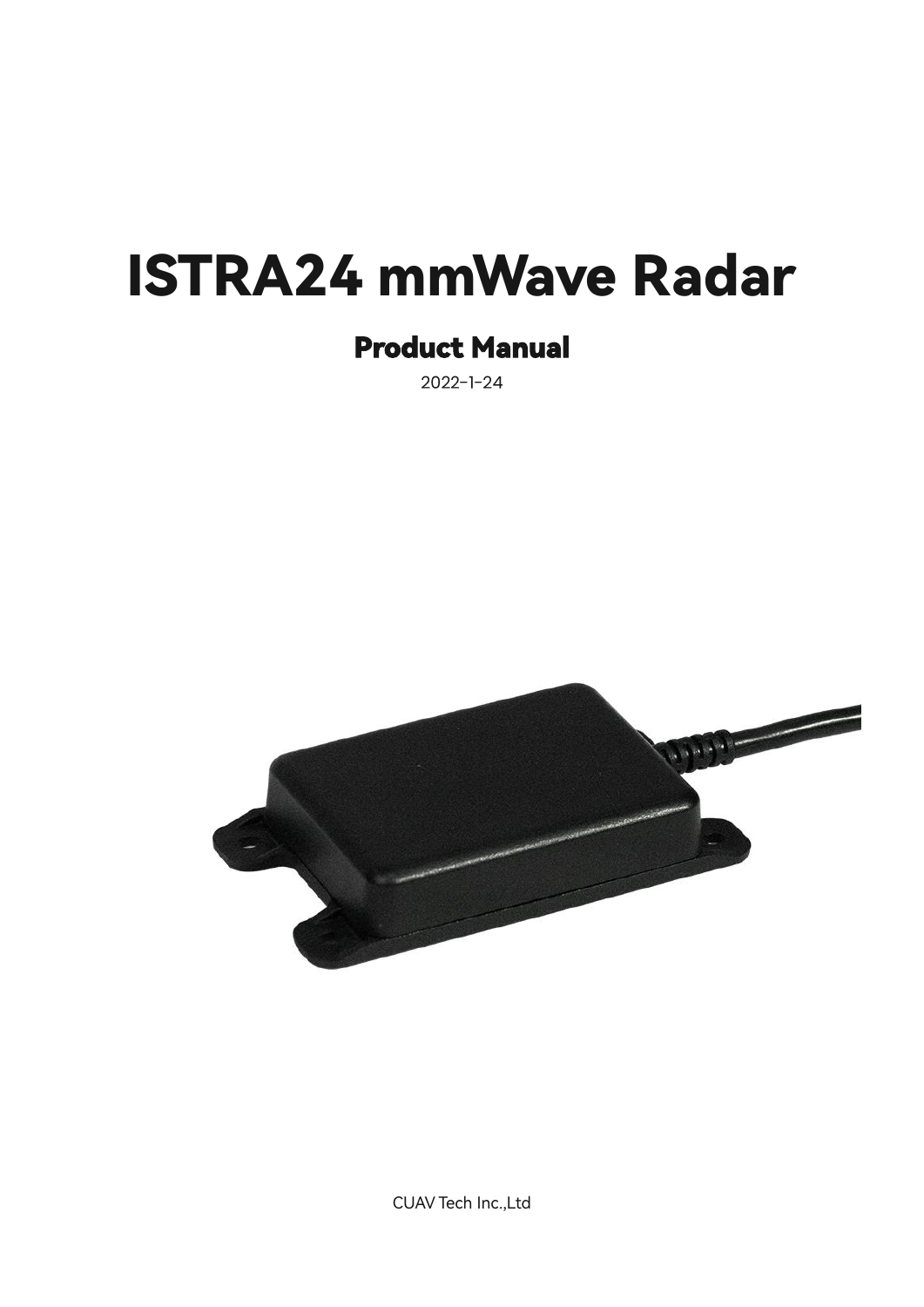# ISTRA24 mmWave Radar

# Product Manual

 $2022 - 1 - 24$ 



CUAV Tech Inc.,Ltd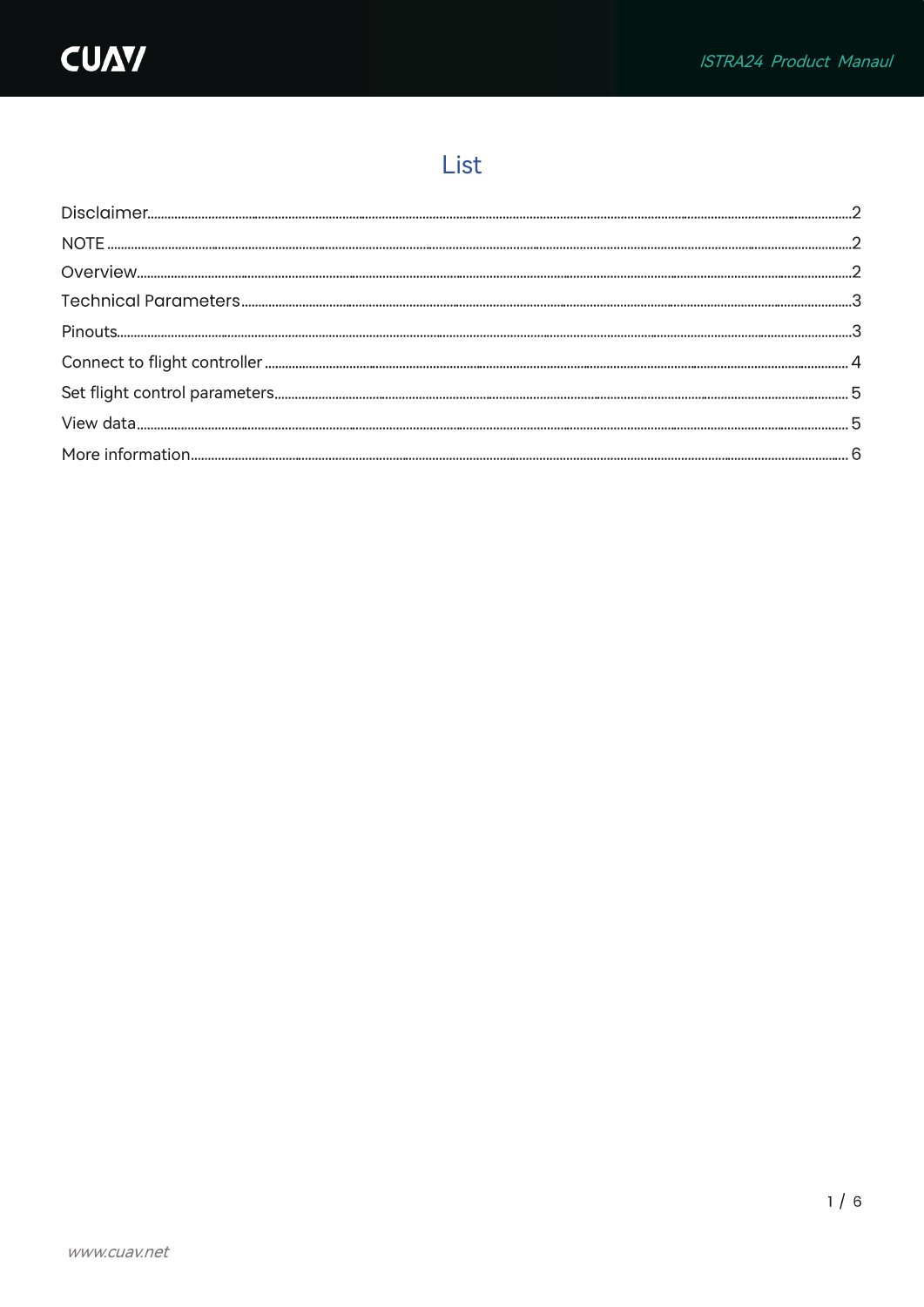# List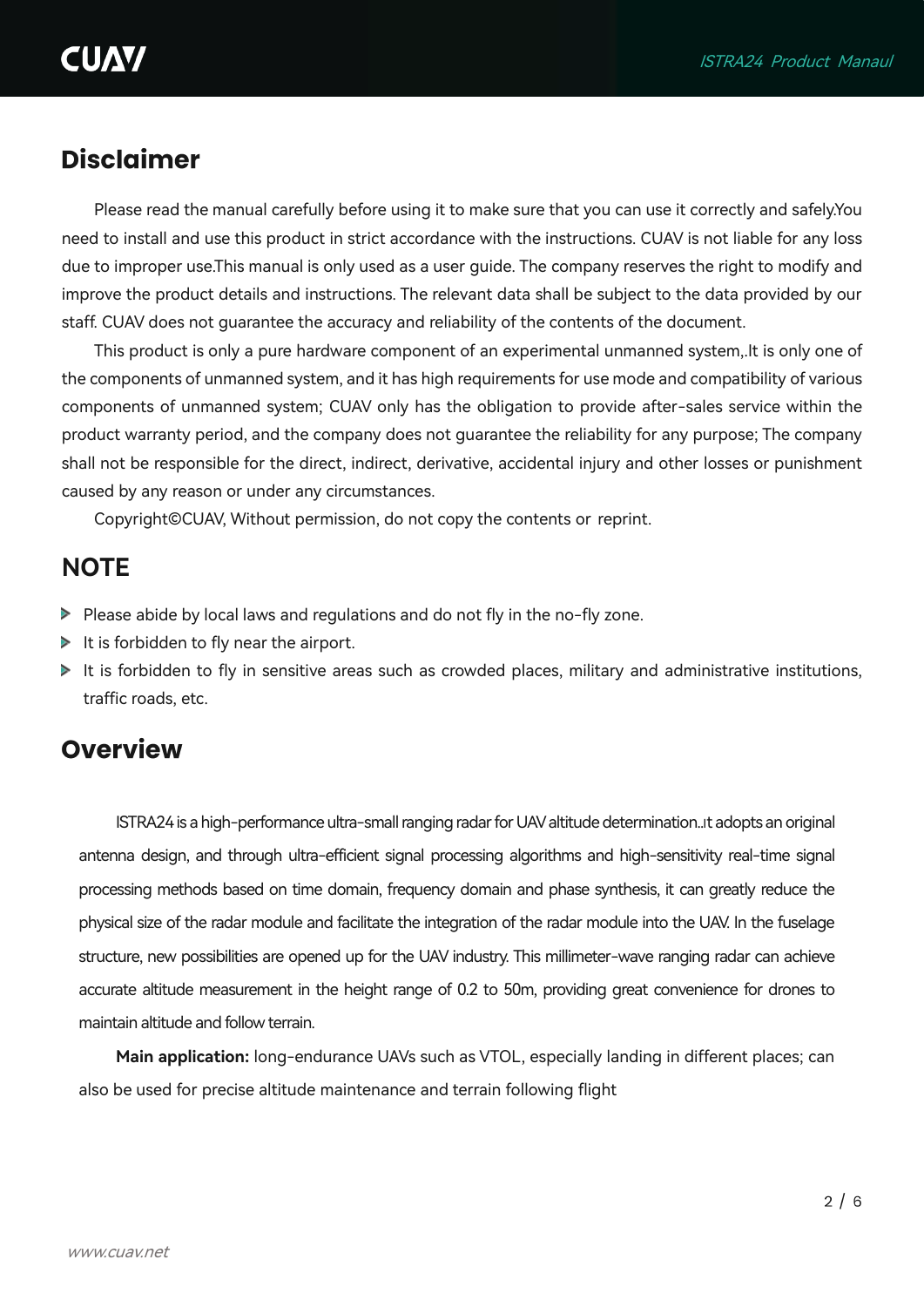## **Disclaimer**

Please read the manual carefully before using it to make sure that you can use it correctly and safely.You need to install and use this product in strict accordance with the instructions. CUAV is not liable for any loss due to improper use.This manual is only used as a user guide. The company reserves the right to modify and improve the product details and instructions. The relevant data shall be subject to the data provided by our staff. CUAV does not guarantee the accuracy and reliability of the contents of the document.

This product is only a pure hardware component of an experimental unmanned system,.It is only one of the components of unmanned system, and it has high requirements for use mode and compatibility of various components of unmanned system; CUAV only has the obligation to provide after-sales service within the product warranty period, and the company does not guarantee the reliability for any purpose; The company shall not be responsible for the direct, indirect, derivative, accidental injury and other losses or punishment caused by any reason or under any circumstances.

Copyright©CUAV, Without permission, do not copy the contents or reprint.

#### <span id="page-2-0"></span>**NOTE**

- $\triangleright$  Please abide by local laws and regulations and do not fly in the no-fly zone.
- $\blacktriangleright$  It is forbidden to fly near the airport.
- $\blacktriangleright$  It is forbidden to fly in sensitive areas such as crowded places, military and administrative institutions, traffic roads, etc.

#### **Overview**

ISTRA24 is a high-performance ultra-small ranging radar for UAV altitude determination..It adopts an original antenna design, and through ultra-efficient signal processing algorithms and high-sensitivity real-time signal processing methods based on time domain, frequency domain and phase synthesis, it can greatly reduce the physical size of the radar module and facilitate the integration of the radar module into the UAV. In the fuselage structure, new possibilities are opened up for the UAV industry. This millimeter-wave ranging radar can achieve accurate altitude measurement in the height range of 0.2 to 50m, providing great convenience for drones to maintain altitude and follow terrain.

**Main application:** long-endurance UAVs such as VTOL, especially landing in different places; can also be used for precise altitude maintenance and terrain following flight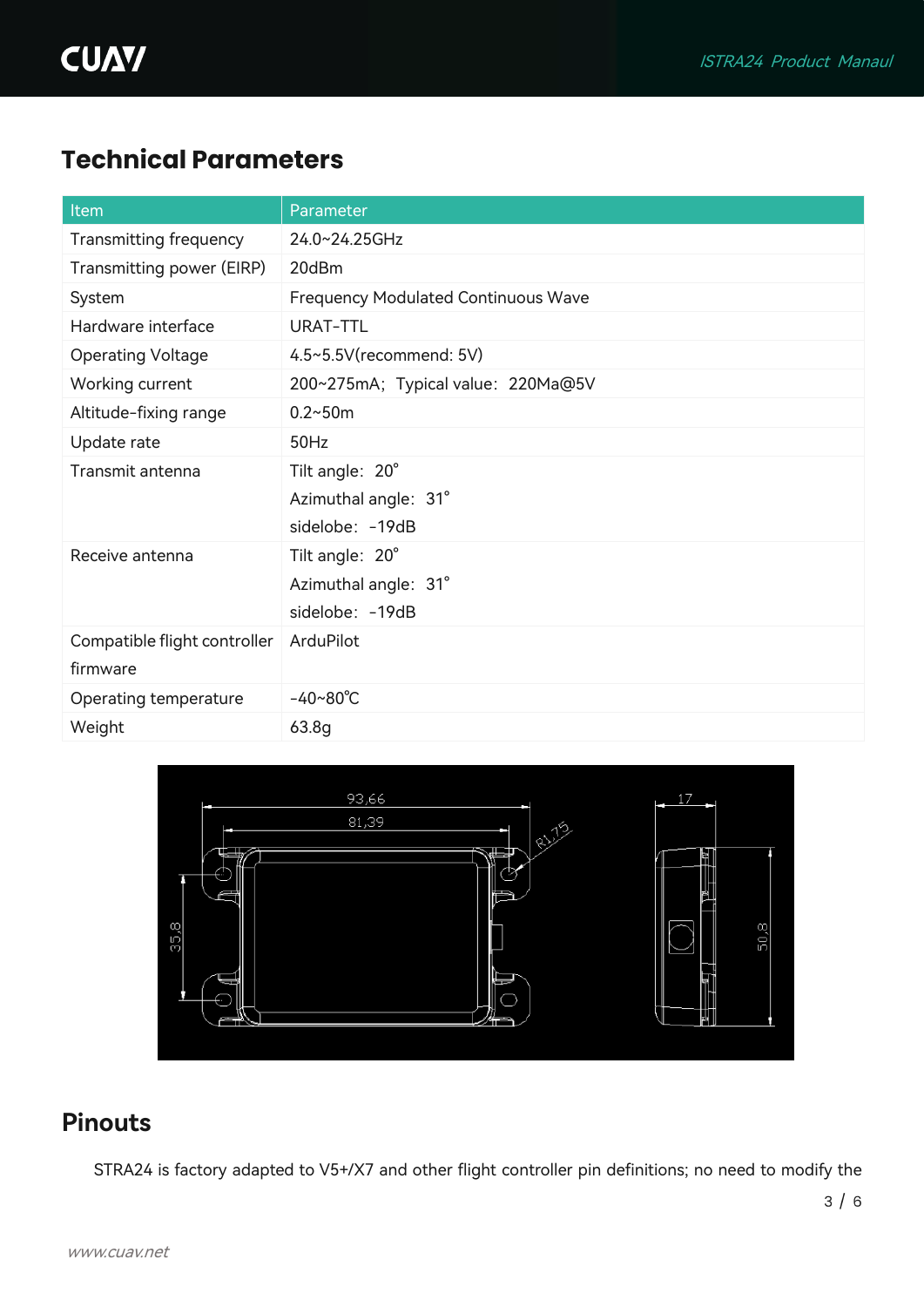# **Technical Parameters**

| Item                         | Parameter                                  |
|------------------------------|--------------------------------------------|
| Transmitting frequency       | 24.0~24.25GHz                              |
| Transmitting power (EIRP)    | 20dBm                                      |
| System                       | <b>Frequency Modulated Continuous Wave</b> |
| Hardware interface           | <b>URAT-TTL</b>                            |
| <b>Operating Voltage</b>     | 4.5~5.5V(recommend: 5V)                    |
| Working current              | 200~275mA; Typical value: 220Ma@5V         |
| Altitude-fixing range        | $0.2 - 50m$                                |
| Update rate                  | 50Hz                                       |
| Transmit antenna             | Tilt angle: 20°                            |
|                              | Azimuthal angle: 31°                       |
|                              | sidelobe: -19dB                            |
| Receive antenna              | Tilt angle: 20°                            |
|                              | Azimuthal angle: 31°                       |
|                              | sidelobe: - 19dB                           |
| Compatible flight controller | ArduPilot                                  |
| firmware                     |                                            |
| Operating temperature        | $-40 - 80^{\circ}C$                        |
| Weight                       | 63.8g                                      |



## <span id="page-3-0"></span>**Pinouts**

STRA24 is factory adapted to V5+/X7 and other flight controller pin definitions; no need to modify the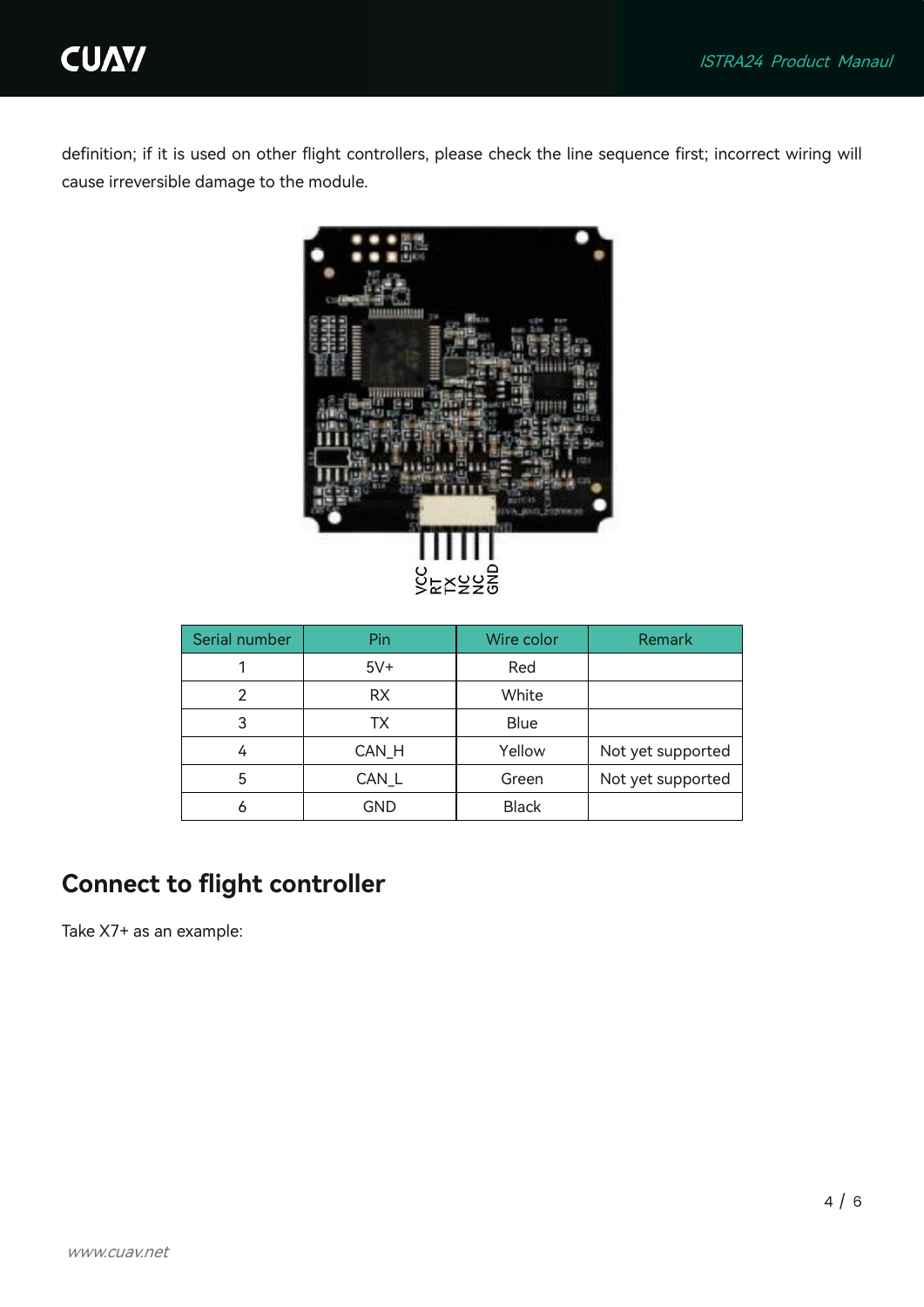

definition; if it is used on other flight controllers, please check the line sequence first; incorrect wiring will cause irreversible damage to the module.



| Serial number | Wire color<br>Pin |              | Remark            |  |
|---------------|-------------------|--------------|-------------------|--|
|               | $5V+$             | Red          |                   |  |
| 2             | <b>RX</b>         | White        |                   |  |
| 3             | TX.               | <b>Blue</b>  |                   |  |
| 4             | CAN_H             | Yellow       | Not yet supported |  |
| 5             | CAN L             | Green        | Not yet supported |  |
|               | GND               | <b>Black</b> |                   |  |

## <span id="page-4-0"></span>**Connect to flight controller**

Take X7+ as an example: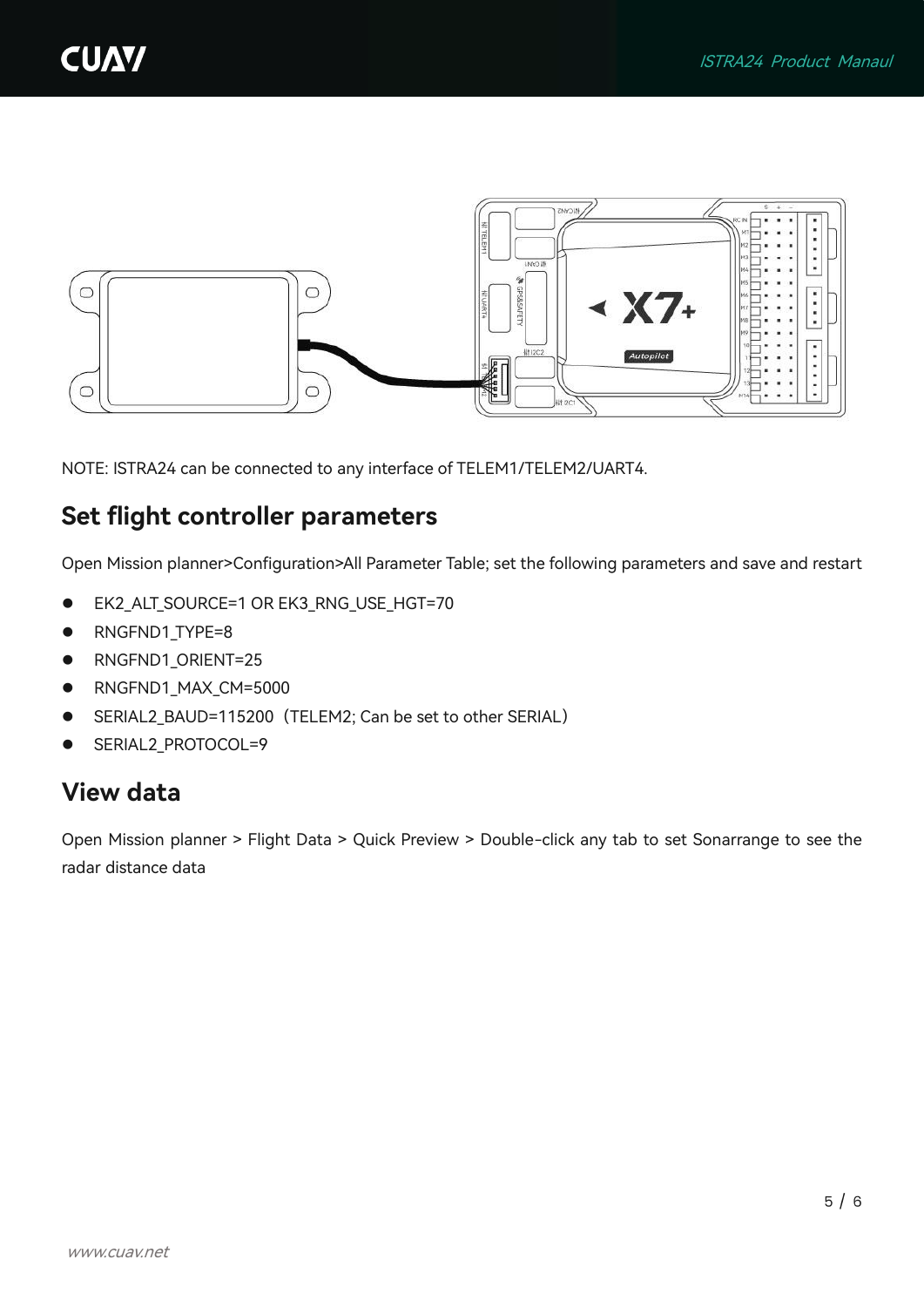

NOTE: ISTRA24 can be connected to any interface of TELEM1/TELEM2/UART4.

### <span id="page-5-0"></span>**Set flight controller parameters**

Open Mission planner>Configuration>All Parameter Table; set the following parameters and save and restart

- ⚫ EK2\_ALT\_SOURCE=1 OR EK3\_RNG\_USE\_HGT=70
- RNGFND1\_TYPE=8
- RNGFND1\_ORIENT=25
- RNGFND1 MAX CM=5000
- SERIAL2\_BAUD=115200 (TELEM2; Can be set to other SERIAL)
- SERIAL2\_PROTOCOL=9

#### <span id="page-5-1"></span>**View data**

Open Mission planner > Flight Data > Quick Preview > Double-click any tab to set Sonarrange to see the radar distance data